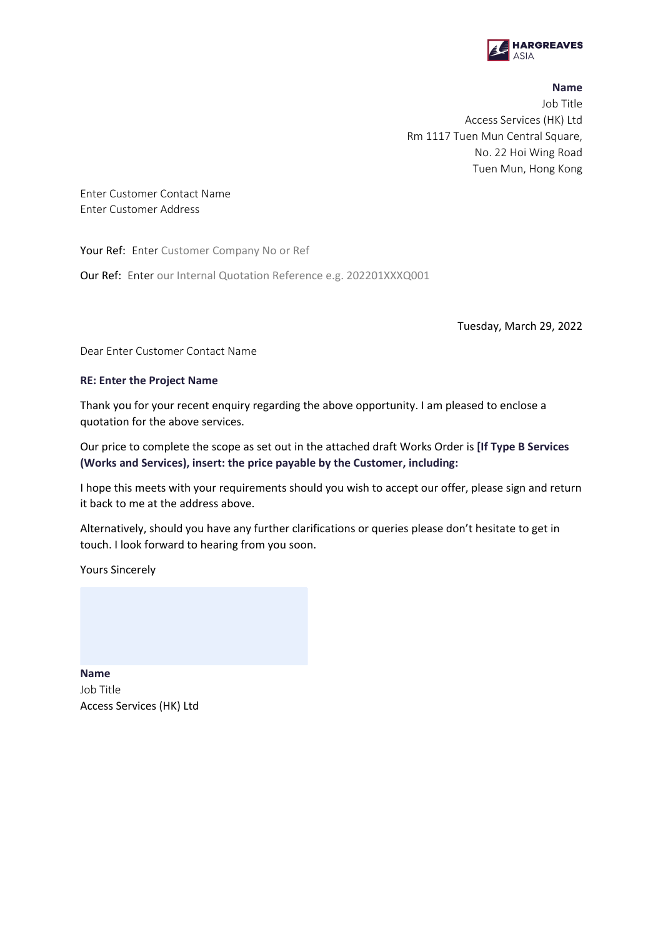

## <span id="page-0-1"></span><span id="page-0-0"></span>**Name**

Job Title [Access Services \(HK\) Ltd](#page-1-0) Rm 1117 Tuen Mun Central Square, No. 22 Hoi Wing Road Tuen Mun, Hong Kong

[Enter Customer](#page-1-1) Contact Name [Enter Customer Address](#page-1-2)

Your Ref: Enter [Customer Company No or Ref](#page-1-3)

Our Ref: Enter [our Internal Quotation Reference e.g. 202201XXXQ001](#page-1-4)

Tuesday, March 29, 2022

Dea[r Enter Customer Contact Name](#page-1-1)

## **RE: [Enter the Project Name](#page-1-5)**

Thank you for your recent enquiry regarding the above opportunity. I am pleased to enclose a quotation for the above services.

Our price to complete the scope as set out in the attached draft Works Order is **[\[If Type B Services](#page-2-0)  [\(Works and Services\), insert: the price payable by the Customer, including:](#page-2-0)** 

I hope this meets with your requirements should you wish to accept our offer, please sign and return it back to me at the address above.

Alternatively, should you have any further clarifications or queries please don't hesitate to get in touch. I look forward to hearing from you soon.

Yours Sincerely

**[Name](#page-0-0)** [Job Title](#page-0-1) [Access Services \(HK\) Ltd](#page-1-0)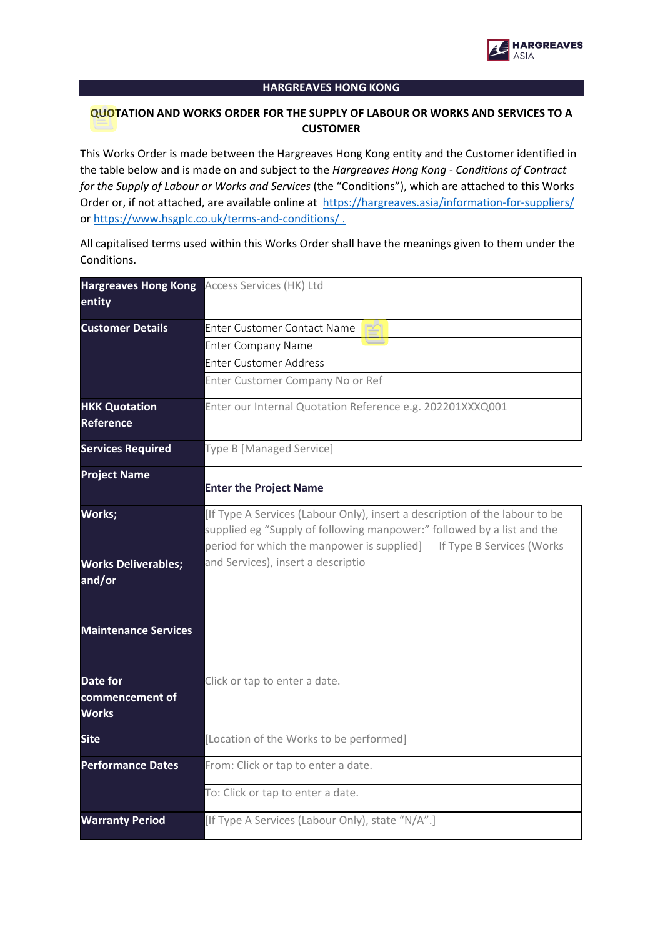

## **HARGREAVES HONG KONG**

## **QUOTATION AND WORKS ORDER FOR THE SUPPLY OF LABOUR OR WORKS AND SERVICES TO A CUSTOMER**

This Works Order is made between the Hargreaves Hong Kong entity and the Customer identified in the table below and is made on and subject to the *Hargreaves Hong Kong - Conditions of Contract for the Supply of Labour or Works and Services* (the "Conditions"), which are attached to this Works Order or, if not attached, are available online at <https://hargreaves.asia/information-for-suppliers/> or <https://www.hsgplc.co.uk/terms-and-conditions/> .

All capitalised terms used within this Works Order shall have the meanings given to them under the Conditions.

<span id="page-1-5"></span><span id="page-1-4"></span><span id="page-1-3"></span><span id="page-1-2"></span><span id="page-1-1"></span><span id="page-1-0"></span>

| entity                                      | Hargreaves Hong Kong Access Services (HK) Ltd                                                                                                                                                                                 |  |
|---------------------------------------------|-------------------------------------------------------------------------------------------------------------------------------------------------------------------------------------------------------------------------------|--|
| <b>Customer Details</b>                     | Enter Customer Contact Name                                                                                                                                                                                                   |  |
|                                             | <b>Enter Company Name</b>                                                                                                                                                                                                     |  |
|                                             | Enter Customer Address                                                                                                                                                                                                        |  |
|                                             | Enter Customer Company No or Ref                                                                                                                                                                                              |  |
| <b>HKK Quotation</b><br><b>Reference</b>    | Enter our Internal Quotation Reference e.g. 202201XXXQ001                                                                                                                                                                     |  |
| <b>Services Required</b>                    | Type B [Managed Service]                                                                                                                                                                                                      |  |
| <b>Project Name</b>                         | <b>Enter the Project Name</b>                                                                                                                                                                                                 |  |
| Works;                                      | [If Type A Services (Labour Only), insert a description of the labour to be<br>supplied eg "Supply of following manpower:" followed by a list and the<br>period for which the manpower is supplied] If Type B Services (Works |  |
| <b>Works Deliverables;</b><br>and/or        | and Services), insert a descriptio                                                                                                                                                                                            |  |
| <b>Maintenance Services</b>                 |                                                                                                                                                                                                                               |  |
| Date for<br>commencement of<br><b>Works</b> | Click or tap to enter a date.                                                                                                                                                                                                 |  |
| <b>Site</b>                                 | [Location of the Works to be performed]                                                                                                                                                                                       |  |
| <b>Performance Dates</b>                    | From: Click or tap to enter a date.                                                                                                                                                                                           |  |
|                                             | To: Click or tap to enter a date.                                                                                                                                                                                             |  |
| <b>Warranty Period</b>                      | [If Type A Services (Labour Only), state "N/A".]                                                                                                                                                                              |  |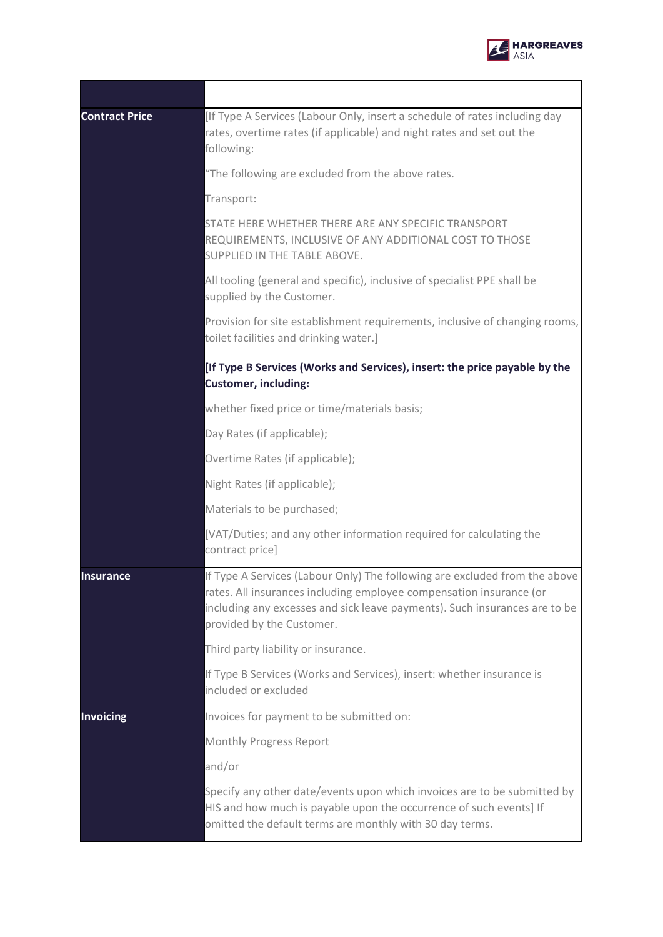

 $\overline{\phantom{0}}$ 

| <b>Contract Price</b> | [If Type A Services (Labour Only, insert a schedule of rates including day<br>rates, overtime rates (if applicable) and night rates and set out the<br>following:                                                                                            |
|-----------------------|--------------------------------------------------------------------------------------------------------------------------------------------------------------------------------------------------------------------------------------------------------------|
|                       | "The following are excluded from the above rates.                                                                                                                                                                                                            |
|                       | Transport:                                                                                                                                                                                                                                                   |
|                       | STATE HERE WHETHER THERE ARE ANY SPECIFIC TRANSPORT<br>REQUIREMENTS, INCLUSIVE OF ANY ADDITIONAL COST TO THOSE<br>SUPPLIED IN THE TABLE ABOVE.                                                                                                               |
|                       | All tooling (general and specific), inclusive of specialist PPE shall be<br>supplied by the Customer.                                                                                                                                                        |
|                       | Provision for site establishment requirements, inclusive of changing rooms,<br>toilet facilities and drinking water.]                                                                                                                                        |
|                       | [If Type B Services (Works and Services), insert: the price payable by the<br><b>Customer, including:</b>                                                                                                                                                    |
|                       | whether fixed price or time/materials basis;                                                                                                                                                                                                                 |
|                       | Day Rates (if applicable);                                                                                                                                                                                                                                   |
|                       | Overtime Rates (if applicable);                                                                                                                                                                                                                              |
|                       | Night Rates (if applicable);                                                                                                                                                                                                                                 |
|                       | Materials to be purchased;                                                                                                                                                                                                                                   |
|                       | [VAT/Duties; and any other information required for calculating the<br>contract price]                                                                                                                                                                       |
| <b>Insurance</b>      | If Type A Services (Labour Only) The following are excluded from the above<br>rates. All insurances including employee compensation insurance (or<br>including any excesses and sick leave payments). Such insurances are to be<br>provided by the Customer. |
|                       | Third party liability or insurance.                                                                                                                                                                                                                          |
|                       | If Type B Services (Works and Services), insert: whether insurance is<br>included or excluded                                                                                                                                                                |
| <b>Invoicing</b>      | Invoices for payment to be submitted on:                                                                                                                                                                                                                     |
|                       | <b>Monthly Progress Report</b>                                                                                                                                                                                                                               |
|                       | and/or                                                                                                                                                                                                                                                       |
|                       | Specify any other date/events upon which invoices are to be submitted by<br>HIS and how much is payable upon the occurrence of such events] If<br>omitted the default terms are monthly with 30 day terms.                                                   |

<span id="page-2-0"></span>÷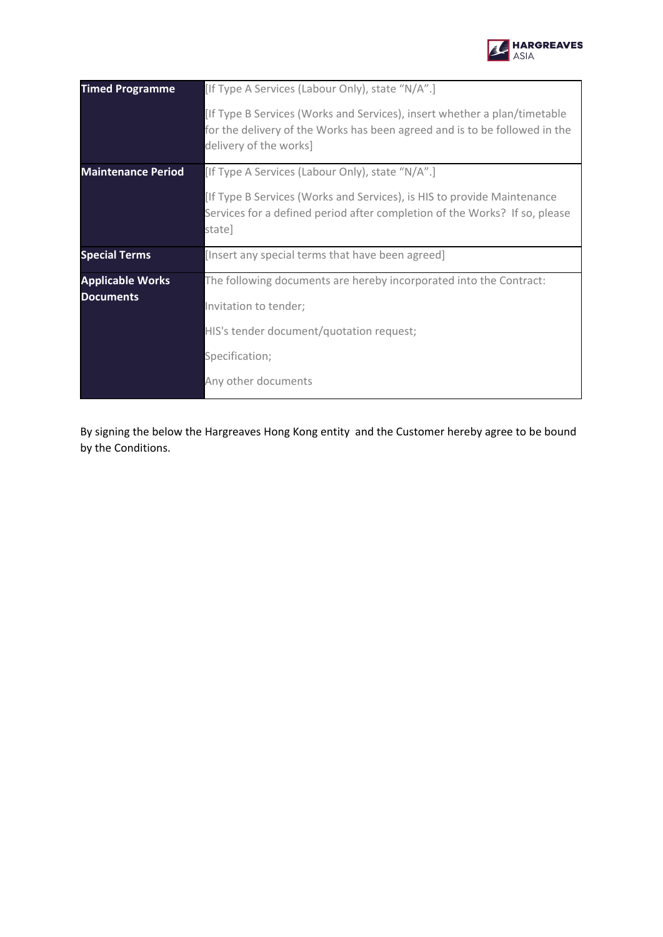

| <b>Timed Programme</b>                      | [If Type A Services (Labour Only), state "N/A".]                                                                                                                                  |
|---------------------------------------------|-----------------------------------------------------------------------------------------------------------------------------------------------------------------------------------|
|                                             | [If Type B Services (Works and Services), insert whether a plan/timetable<br>for the delivery of the Works has been agreed and is to be followed in the<br>delivery of the works] |
| <b>Maintenance Period</b>                   | [If Type A Services (Labour Only), state "N/A".]                                                                                                                                  |
|                                             | [If Type B Services (Works and Services), is HIS to provide Maintenance<br>Services for a defined period after completion of the Works? If so, please<br>state]                   |
| <b>Special Terms</b>                        | [Insert any special terms that have been agreed]                                                                                                                                  |
| <b>Applicable Works</b><br><b>Documents</b> | The following documents are hereby incorporated into the Contract:                                                                                                                |
|                                             | Invitation to tender;                                                                                                                                                             |
|                                             | HIS's tender document/quotation request;                                                                                                                                          |
|                                             | Specification;                                                                                                                                                                    |
|                                             | Any other documents                                                                                                                                                               |

By signing the below the Hargreaves Hong Kong entity and the Customer hereby agree to be bound by the Conditions.